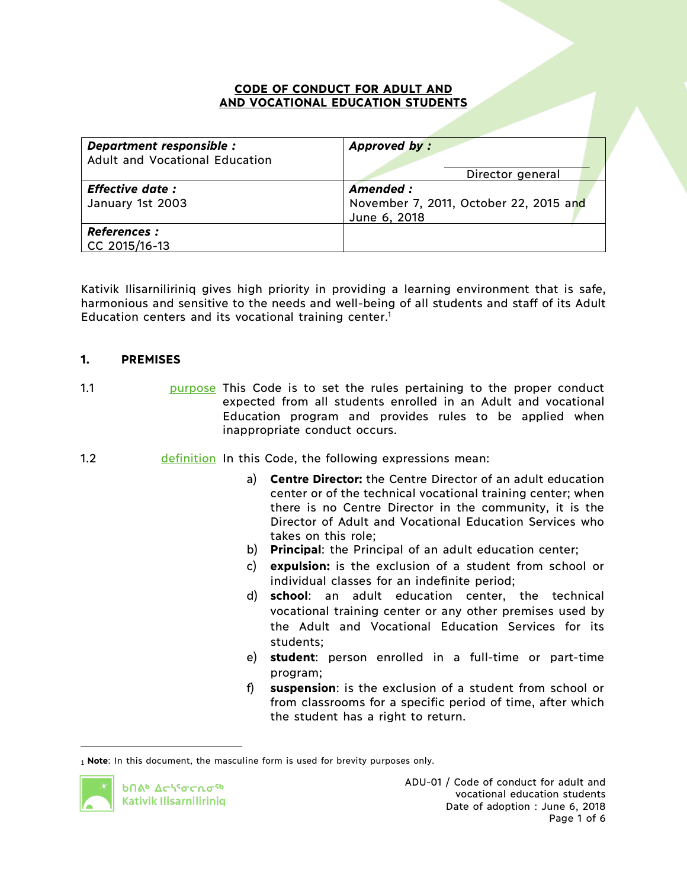#### **CODE OF CONDUCT FOR ADULT AND AND VOCATIONAL EDUCATION STUDENTS**

| Department responsible :<br>Adult and Vocational Education | Approved by:                                                        |
|------------------------------------------------------------|---------------------------------------------------------------------|
|                                                            | Director general                                                    |
| <b>Effective date:</b><br>January 1st 2003                 | Amended :<br>November 7, 2011, October 22, 2015 and<br>June 6, 2018 |
| <b>References:</b><br>CC 2015/16-13                        |                                                                     |

Kativik Ilisarniliriniq gives high priority in providing a learning environment that is safe, harmonious and sensitive to the needs and well-being of all students and staff of its Adult Education centers and its vocational training center. 1

#### **1. PREMISES**

1.1 **1.1** purpose This Code is to set the rules pertaining to the proper conduct expected from all students enrolled in an Adult and vocational Education program and provides rules to be applied when inappropriate conduct occurs.

- 1.2 **definition** In this Code, the following expressions mean:
	- a) **Centre Director:** the Centre Director of an adult education center or of the technical vocational training center; when there is no Centre Director in the community, it is the Director of Adult and Vocational Education Services who takes on this role;
	- b) **Principal**: the Principal of an adult education center;
	- c) **expulsion:** is the exclusion of a student from school or individual classes for an indefinite period;
	- d) **school**: an adult education center, the technical vocational training center or any other premises used by the Adult and Vocational Education Services for its students;
	- e) **student**: person enrolled in a full-time or part-time program;
	- f) **suspension**: is the exclusion of a student from school or from classrooms for a specific period of time, after which the student has a right to return.

<sup>1</sup> **Note**: In this document, the masculine form is used for brevity purposes only.



 $\overline{a}$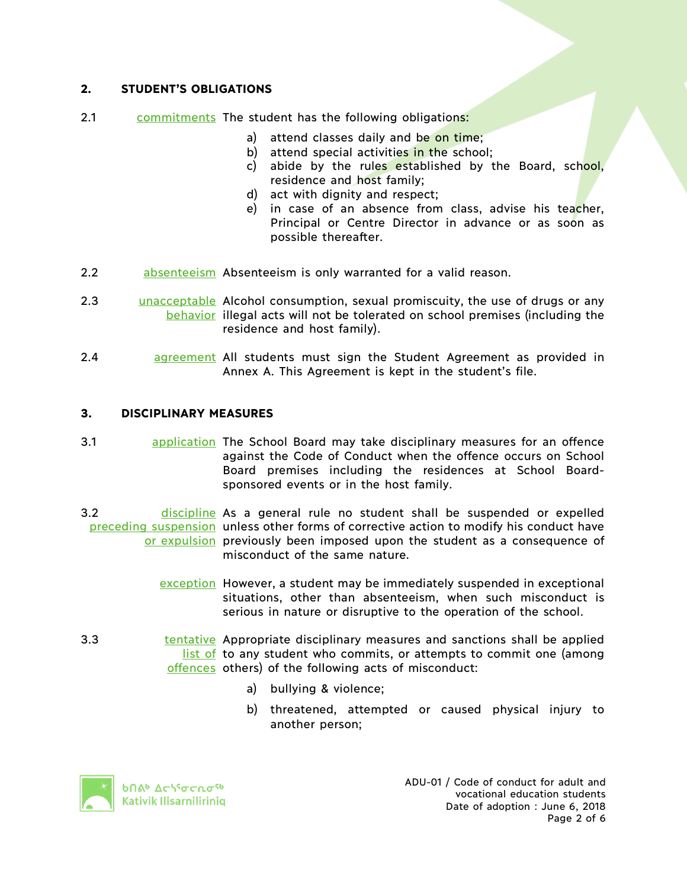# **2. STUDENT'S OBLIGATIONS**

- 2.1 commitments The student has the following obligations:
	- a) attend classes daily and be on time;
	- b) attend special activities in the school;
	- c) abide by the rules established by the Board, school, residence and host family;
	- d) act with dignity and respect;
	- e) in case of an absence from class, advise his teacher, Principal or Centre Director in advance or as soon as possible thereafter.
- 2.2 absenteeism Absenteeism is only warranted for a valid reason.
- 2.3 **unacceptable** Alcohol consumption, sexual promiscuity, the use of drugs or any behavior illegal acts will not be tolerated on school premises (including the residence and host family).
- 2.4 **agreement All students must sign the Student Agreement as provided in** Annex A. This Agreement is kept in the student's file.

### **3. DISCIPLINARY MEASURES**

- 3.1 **application** The School Board may take disciplinary measures for an offence against the Code of Conduct when the offence occurs on School Board premises including the residences at School Boardsponsored events or in the host family.
- 3.2 **discipline** As a general rule no student shall be suspended or expelled preceding suspension unless other forms of corrective action to modify his conduct have or expulsion previously been imposed upon the student as a consequence of misconduct of the same nature.
	- exception However, a student may be immediately suspended in exceptional situations, other than absenteeism, when such misconduct is serious in nature or disruptive to the operation of the school.
- 3.3 **tentative** Appropriate disciplinary measures and sanctions shall be applied list of to any student who commits, or attempts to commit one (among offences others) of the following acts of misconduct:
	- a) bullying & violence;
	- b) threatened, attempted or caused physical injury to another person;



ADU-01 / Code of conduct for adult and vocational education students Date of adoption : June 6, 2018 Page 2 of 6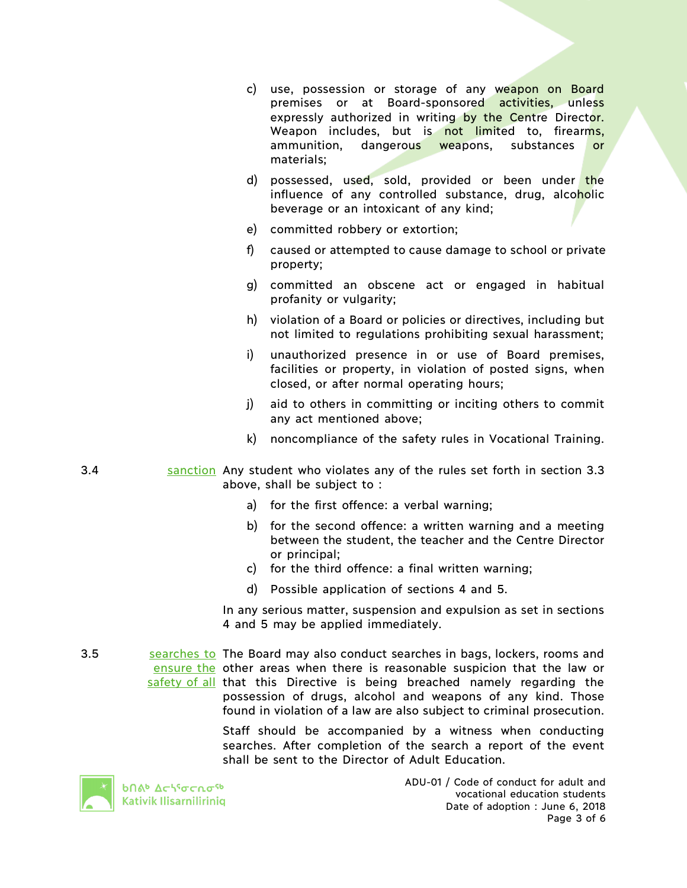- c) use, possession or storage of any weapon on Board premises or at Board-sponsored activities, unless expressly authorized in writing by the Centre Director. Weapon includes, but is not limited to, firearms, ammunition, dangerous weapons, substances or materials;
- d) possessed, used, sold, provided or been under the influence of any controlled substance, drug, alcoholic beverage or an intoxicant of any kind;
- e) committed robbery or extortion;
- f) caused or attempted to cause damage to school or private property;
- g) committed an obscene act or engaged in habitual profanity or vulgarity;
- h) violation of a Board or policies or directives, including but not limited to regulations prohibiting sexual harassment;
- i) unauthorized presence in or use of Board premises, facilities or property, in violation of posted signs, when closed, or after normal operating hours;
- j) aid to others in committing or inciting others to commit any act mentioned above;
- k) noncompliance of the safety rules in Vocational Training.
- 3.4 sanction Any student who violates any of the rules set forth in section 3.3 above, shall be subject to :
	- a) for the first offence: a verbal warning;
	- b) for the second offence: a written warning and a meeting between the student, the teacher and the Centre Director or principal;
	- c) for the third offence: a final written warning;
	- d) Possible application of sections 4 and 5.

In any serious matter, suspension and expulsion as set in sections 4 and 5 may be applied immediately.

3.5 searches to The Board may also conduct searches in bags, lockers, rooms and ensure the other areas when there is reasonable suspicion that the law or safety of all that this Directive is being breached namely regarding the possession of drugs, alcohol and weapons of any kind. Those found in violation of a law are also subject to criminal prosecution.

> Staff should be accompanied by a witness when conducting searches. After completion of the search a report of the event shall be sent to the Director of Adult Education.



**b**በል<sup>b</sup> Δς<sup>6</sup>σς ρα<sup>ς6</sup> Kativik Ilisarniliriniq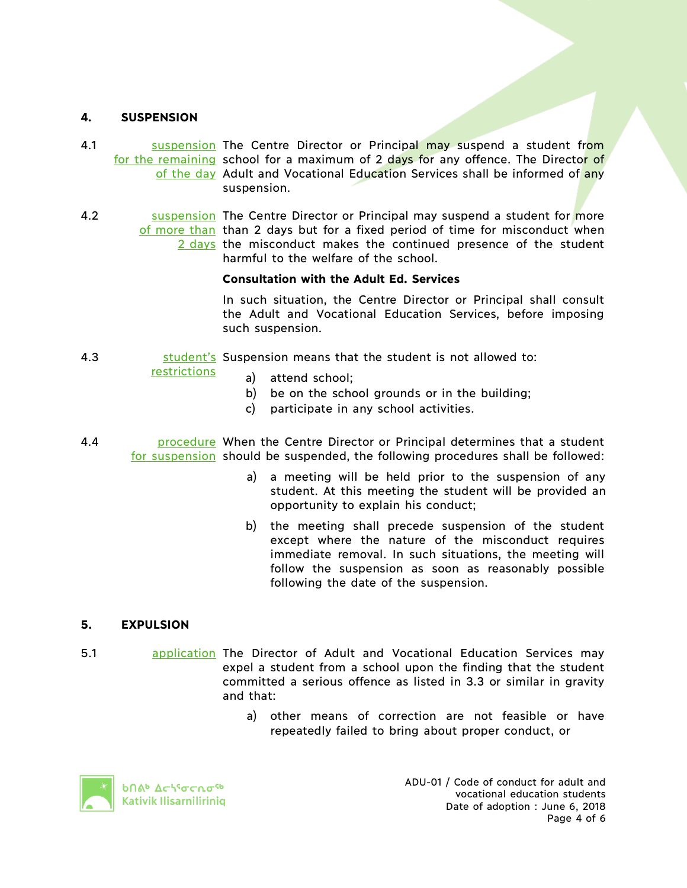### **4. SUSPENSION**

- 4.1 **Suspension The Centre Director or Principal may suspend a student from** for the remaining school for a maximum of 2 days for any offence. The Director of of the day Adult and Vocational Education Services shall be informed of any suspension.
- 4.2 **Suspension The Centre Director or Principal may suspend a student for more** of more than than 2 days but for a fixed period of time for misconduct when 2 days the misconduct makes the continued presence of the student harmful to the welfare of the school.

#### **Consultation with the Adult Ed. Services**

In such situation, the Centre Director or Principal shall consult the Adult and Vocational Education Services, before imposing such suspension.

4.3 **Sumeth Student's** Suspension means that the student is not allowed to:

#### restrictions

- a) attend school;
	- b) be on the school grounds or in the building;
- c) participate in any school activities.
- 4.4 **procedure** When the Centre Director or Principal determines that a student for suspension should be suspended, the following procedures shall be followed:
	- a) a meeting will be held prior to the suspension of any student. At this meeting the student will be provided an opportunity to explain his conduct;
	- b) the meeting shall precede suspension of the student except where the nature of the misconduct requires immediate removal. In such situations, the meeting will follow the suspension as soon as reasonably possible following the date of the suspension.

### **5. EXPULSION**

- 5.1 application The Director of Adult and Vocational Education Services may expel a student from a school upon the finding that the student committed a serious offence as listed in 3.3 or similar in gravity and that:
	- a) other means of correction are not feasible or have repeatedly failed to bring about proper conduct, or

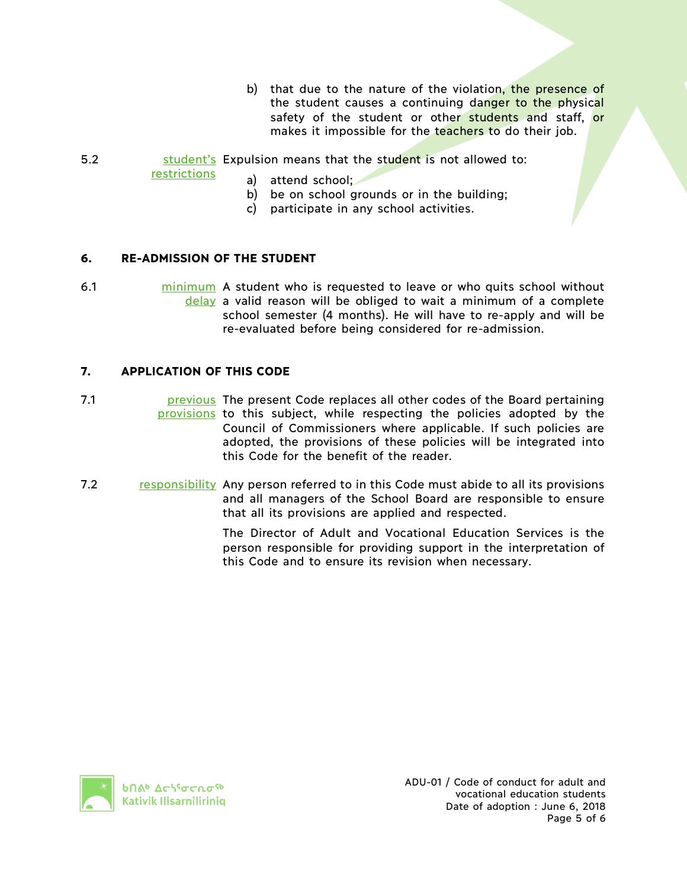- b) that due to the nature of the violation, the presence of the student causes a continuing danger to the physical safety of the student or other students and staff, or makes it impossible for the teachers to do their job.
- 5.2 student's Expulsion means that the student is not allowed to:

restrictions

- a) attend school;
- b) be on school grounds or in the building;
- c) participate in any school activities.

## **6. RE-ADMISSION OF THE STUDENT**

6.1 minimum A student who is requested to leave or who quits school without delay a valid reason will be obliged to wait a minimum of a complete school semester (4 months). He will have to re-apply and will be re-evaluated before being considered for re-admission.

### **7. APPLICATION OF THIS CODE**

7.1 **previous** The present Code replaces all other codes of the Board pertaining provisions to this subject, while respecting the policies adopted by the Council of Commissioners where applicable. If such policies are adopted, the provisions of these policies will be integrated into this Code for the benefit of the reader.

7.2 responsibility Any person referred to in this Code must abide to all its provisions and all managers of the School Board are responsible to ensure that all its provisions are applied and respected.

> The Director of Adult and Vocational Education Services is the person responsible for providing support in the interpretation of this Code and to ensure its revision when necessary.